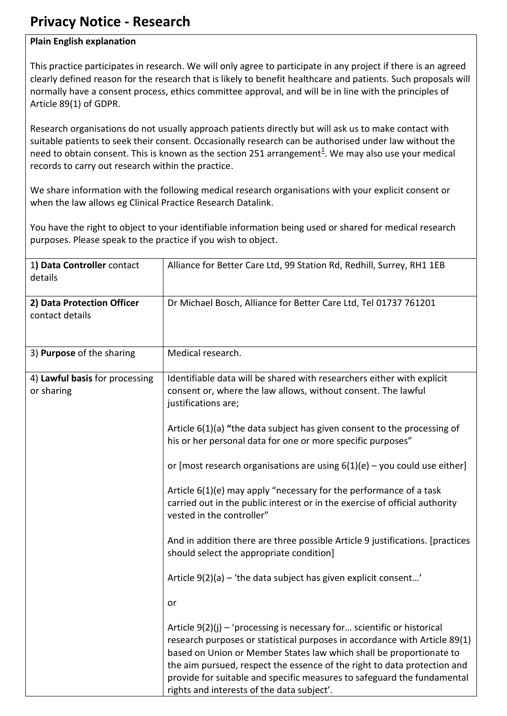## **Privacy Notice - Research**

## **Plain English explanation**

This practice participates in research. We will only agree to participate in any project if there is an agreed clearly defined reason for the research that is likely to benefit healthcare and patients. Such proposals will normally have a consent process, ethics committee approval, and will be in line with the principles of Article 89(1) of GDPR.

Research organisations do not usually approach patients directly but will ask us to make contact with suitable patients to seek their consent. Occasionally research can be authorised under law without the need to obtain consent. This is known as the section 25[1](#page-1-0) arrangement<sup>1</sup>. We may also use your medical records to carry out research within the practice.

We share information with the following medical research organisations with your explicit consent or when the law allows eg Clinical Practice Research Datalink.

You have the right to object to your identifiable information being used or shared for medical research purposes. Please speak to the practice if you wish to object.

| 1) Data Controller contact<br>details         | Alliance for Better Care Ltd, 99 Station Rd, Redhill, Surrey, RH1 1EB                                                                                                                                                                                                                                                                                                                                                               |
|-----------------------------------------------|-------------------------------------------------------------------------------------------------------------------------------------------------------------------------------------------------------------------------------------------------------------------------------------------------------------------------------------------------------------------------------------------------------------------------------------|
| 2) Data Protection Officer<br>contact details | Dr Michael Bosch, Alliance for Better Care Ltd, Tel 01737 761201                                                                                                                                                                                                                                                                                                                                                                    |
| 3) Purpose of the sharing                     | Medical research.                                                                                                                                                                                                                                                                                                                                                                                                                   |
| 4) Lawful basis for processing<br>or sharing  | Identifiable data will be shared with researchers either with explicit<br>consent or, where the law allows, without consent. The lawful<br>justifications are;                                                                                                                                                                                                                                                                      |
|                                               | Article 6(1)(a) "the data subject has given consent to the processing of<br>his or her personal data for one or more specific purposes"                                                                                                                                                                                                                                                                                             |
|                                               | or [most research organisations are using $6(1)(e)$ – you could use either]                                                                                                                                                                                                                                                                                                                                                         |
|                                               | Article 6(1)(e) may apply "necessary for the performance of a task<br>carried out in the public interest or in the exercise of official authority<br>vested in the controller"                                                                                                                                                                                                                                                      |
|                                               | And in addition there are three possible Article 9 justifications. [practices<br>should select the appropriate condition]                                                                                                                                                                                                                                                                                                           |
|                                               | Article 9(2)(a) - 'the data subject has given explicit consent'                                                                                                                                                                                                                                                                                                                                                                     |
|                                               | or                                                                                                                                                                                                                                                                                                                                                                                                                                  |
|                                               | Article $9(2)(j)$ – 'processing is necessary for scientific or historical<br>research purposes or statistical purposes in accordance with Article 89(1)<br>based on Union or Member States law which shall be proportionate to<br>the aim pursued, respect the essence of the right to data protection and<br>provide for suitable and specific measures to safeguard the fundamental<br>rights and interests of the data subject'. |